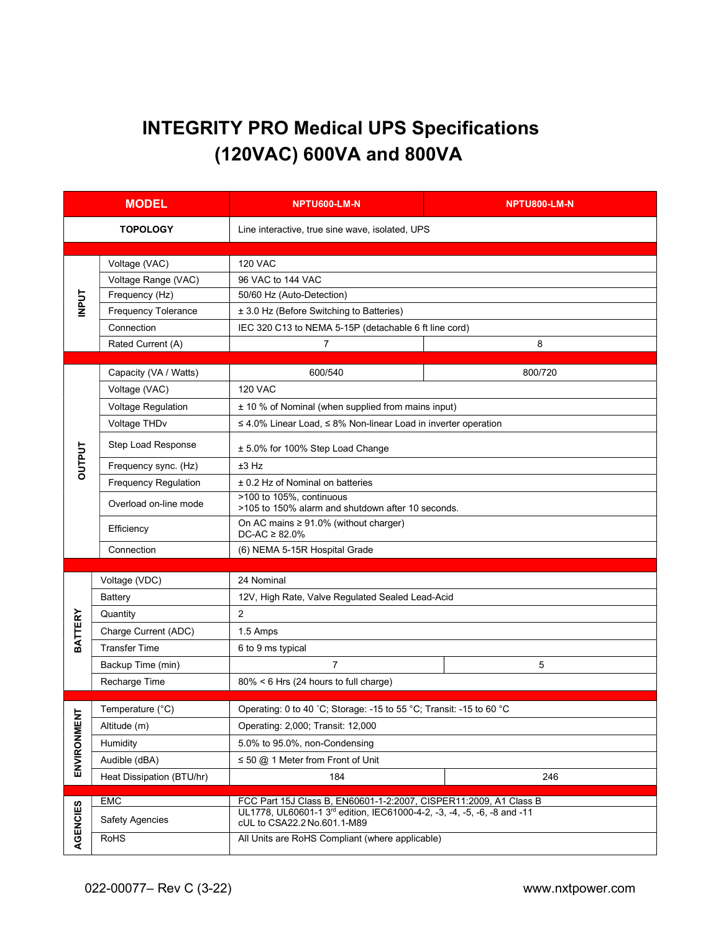## INTEGRITY PRO Medical UPS Specifications (120VAC) 600VA and 800VA

| <b>MODEL</b>    |                             | NPTU600-LM-N                                                                                                                                 | NPTU800-LM-N |  |  |  |
|-----------------|-----------------------------|----------------------------------------------------------------------------------------------------------------------------------------------|--------------|--|--|--|
| <b>TOPOLOGY</b> |                             | Line interactive, true sine wave, isolated, UPS                                                                                              |              |  |  |  |
|                 |                             |                                                                                                                                              |              |  |  |  |
| <b>INPUT</b>    | Voltage (VAC)               | <b>120 VAC</b>                                                                                                                               |              |  |  |  |
|                 | Voltage Range (VAC)         | 96 VAC to 144 VAC                                                                                                                            |              |  |  |  |
|                 | Frequency (Hz)              | 50/60 Hz (Auto-Detection)                                                                                                                    |              |  |  |  |
|                 | <b>Frequency Tolerance</b>  | ± 3.0 Hz (Before Switching to Batteries)                                                                                                     |              |  |  |  |
|                 | Connection                  | IEC 320 C13 to NEMA 5-15P (detachable 6 ft line cord)                                                                                        |              |  |  |  |
|                 | Rated Current (A)           | $\overline{7}$                                                                                                                               | 8            |  |  |  |
|                 | Capacity (VA / Watts)       | 600/540                                                                                                                                      | 800/720      |  |  |  |
|                 | Voltage (VAC)               | <b>120 VAC</b>                                                                                                                               |              |  |  |  |
|                 | <b>Voltage Regulation</b>   | ± 10 % of Nominal (when supplied from mains input)                                                                                           |              |  |  |  |
|                 | Voltage THDv                | $\leq$ 4.0% Linear Load, $\leq$ 8% Non-linear Load in inverter operation                                                                     |              |  |  |  |
|                 | <b>Step Load Response</b>   | ± 5.0% for 100% Step Load Change                                                                                                             |              |  |  |  |
| <b>DUTPUT</b>   | Frequency sync. (Hz)        | $±3$ Hz                                                                                                                                      |              |  |  |  |
|                 | <b>Frequency Regulation</b> | ± 0.2 Hz of Nominal on batteries                                                                                                             |              |  |  |  |
|                 | Overload on-line mode       | >100 to 105%, continuous<br>>105 to 150% alarm and shutdown after 10 seconds.                                                                |              |  |  |  |
|                 | Efficiency                  | On AC mains $\geq 91.0\%$ (without charger)<br>$DC-AC \geq 82.0\%$                                                                           |              |  |  |  |
|                 | Connection                  | (6) NEMA 5-15R Hospital Grade                                                                                                                |              |  |  |  |
|                 |                             |                                                                                                                                              |              |  |  |  |
|                 | Voltage (VDC)               | 24 Nominal                                                                                                                                   |              |  |  |  |
|                 | Battery                     | 12V, High Rate, Valve Regulated Sealed Lead-Acid                                                                                             |              |  |  |  |
| <b>BATTERY</b>  | Quantity                    | 2                                                                                                                                            |              |  |  |  |
|                 | Charge Current (ADC)        | 1.5 Amps                                                                                                                                     |              |  |  |  |
|                 | <b>Transfer Time</b>        | 6 to 9 ms typical                                                                                                                            |              |  |  |  |
|                 | Backup Time (min)           | $\overline{7}$                                                                                                                               | 5            |  |  |  |
|                 | Recharge Time               | 80% < 6 Hrs (24 hours to full charge)                                                                                                        |              |  |  |  |
|                 | Temperature (°C)            | Operating: 0 to 40 °C; Storage: -15 to 55 °C; Transit: -15 to 60 °C                                                                          |              |  |  |  |
| $\overline{5}$  | Altitude (m)                | Operating: 2,000; Transit: 12,000                                                                                                            |              |  |  |  |
|                 | Humidity                    | 5.0% to 95.0%, non-Condensing                                                                                                                |              |  |  |  |
| ENVIRONMEI      | Audible (dBA)               | $\leq$ 50 @ 1 Meter from Front of Unit                                                                                                       |              |  |  |  |
|                 | Heat Dissipation (BTU/hr)   | 184                                                                                                                                          | 246          |  |  |  |
|                 |                             |                                                                                                                                              |              |  |  |  |
|                 | EMC                         | FCC Part 15J Class B, EN60601-1-2:2007, CISPER11:2009, A1 Class B<br>UL1778, UL60601-1 3rd edition, IEC61000-4-2, -3, -4, -5, -6, -8 and -11 |              |  |  |  |
|                 | <b>Safety Agencies</b>      | cUL to CSA22.2 No.601.1-M89                                                                                                                  |              |  |  |  |
| AGENCIES        | <b>RoHS</b>                 | All Units are RoHS Compliant (where applicable)                                                                                              |              |  |  |  |